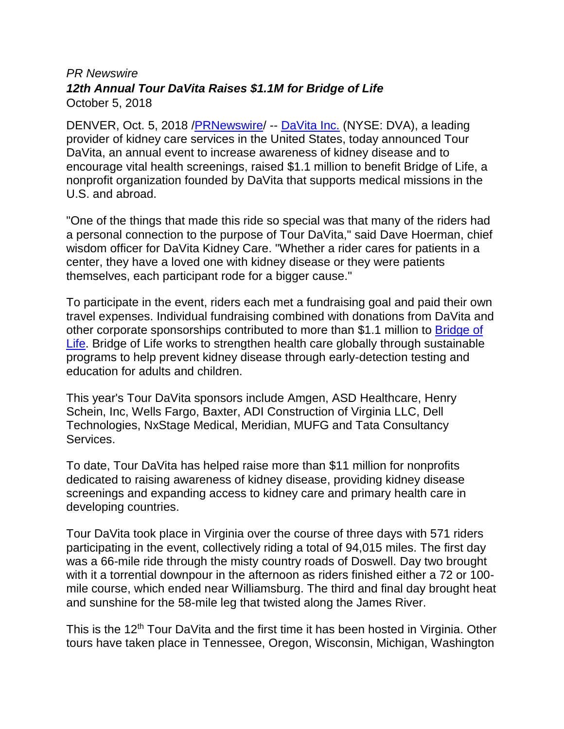## *PR Newswire 12th Annual Tour DaVita Raises \$1.1M for Bridge of Life* October 5, 2018

DENVER, Oct. 5, 2018 [/PRNewswire/](http://www.prnewswire.com/) -- [DaVita Inc.](http://www.davita.com/) (NYSE: DVA), a leading provider of kidney care services in the United States, today announced Tour DaVita, an annual event to increase awareness of kidney disease and to encourage vital health screenings, raised \$1.1 million to benefit Bridge of Life, a nonprofit organization founded by DaVita that supports medical missions in the U.S. and abroad.

"One of the things that made this ride so special was that many of the riders had a personal connection to the purpose of Tour DaVita," said Dave Hoerman, chief wisdom officer for DaVita Kidney Care. "Whether a rider cares for patients in a center, they have a loved one with kidney disease or they were patients themselves, each participant rode for a bigger cause."

To participate in the event, riders each met a fundraising goal and paid their own travel expenses. Individual fundraising combined with donations from DaVita and other corporate sponsorships contributed to more than \$1.1 million to [Bridge of](https://www.bridgeoflifeinternational.org/about-us/)  [Life.](https://www.bridgeoflifeinternational.org/about-us/) Bridge of Life works to strengthen health care globally through sustainable programs to help prevent kidney disease through early-detection testing and education for adults and children.

This year's Tour DaVita sponsors include Amgen, ASD Healthcare, Henry Schein, Inc, Wells Fargo, Baxter, ADI Construction of Virginia LLC, Dell Technologies, NxStage Medical, Meridian, MUFG and Tata Consultancy Services.

To date, Tour DaVita has helped raise more than \$11 million for nonprofits dedicated to raising awareness of kidney disease, providing kidney disease screenings and expanding access to kidney care and primary health care in developing countries.

Tour DaVita took place in Virginia over the course of three days with 571 riders participating in the event, collectively riding a total of 94,015 miles. The first day was a 66-mile ride through the misty country roads of Doswell. Day two brought with it a torrential downpour in the afternoon as riders finished either a 72 or 100 mile course, which ended near Williamsburg. The third and final day brought heat and sunshine for the 58-mile leg that twisted along the James River.

This is the 12<sup>th</sup> Tour DaVita and the first time it has been hosted in Virginia. Other tours have taken place in Tennessee, Oregon, Wisconsin, Michigan, Washington